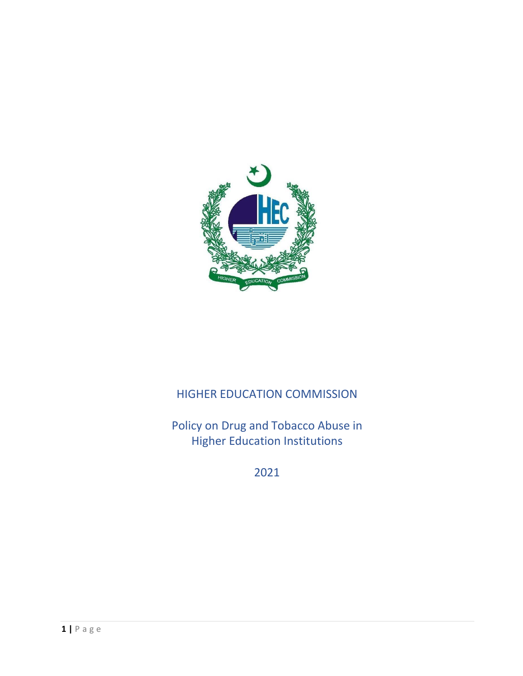

# HIGHER EDUCATION COMMISSION

Policy on Drug and Tobacco Abuse in Higher Education Institutions

2021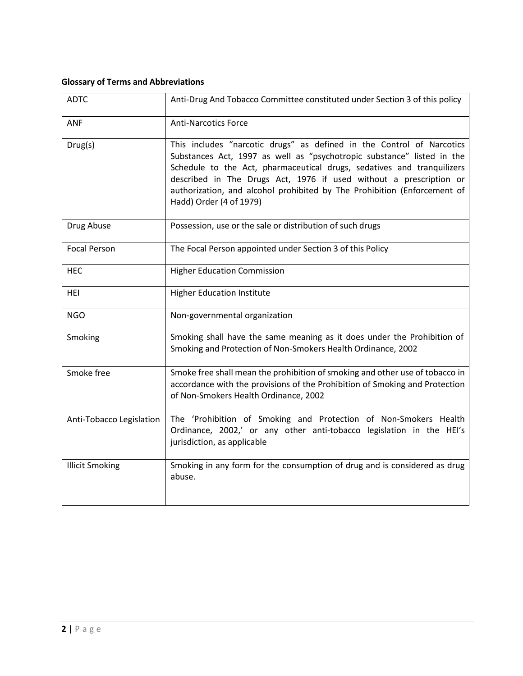# **Glossary of Terms and Abbreviations**

| <b>ADTC</b>              | Anti-Drug And Tobacco Committee constituted under Section 3 of this policy                                                                                                                                                                                                                                                                                                                             |
|--------------------------|--------------------------------------------------------------------------------------------------------------------------------------------------------------------------------------------------------------------------------------------------------------------------------------------------------------------------------------------------------------------------------------------------------|
| <b>ANF</b>               | <b>Anti-Narcotics Force</b>                                                                                                                                                                                                                                                                                                                                                                            |
| Drug(s)                  | This includes "narcotic drugs" as defined in the Control of Narcotics<br>Substances Act, 1997 as well as "psychotropic substance" listed in the<br>Schedule to the Act, pharmaceutical drugs, sedatives and tranquilizers<br>described in The Drugs Act, 1976 if used without a prescription or<br>authorization, and alcohol prohibited by The Prohibition (Enforcement of<br>Hadd) Order (4 of 1979) |
| Drug Abuse               | Possession, use or the sale or distribution of such drugs                                                                                                                                                                                                                                                                                                                                              |
| <b>Focal Person</b>      | The Focal Person appointed under Section 3 of this Policy                                                                                                                                                                                                                                                                                                                                              |
| <b>HEC</b>               | <b>Higher Education Commission</b>                                                                                                                                                                                                                                                                                                                                                                     |
| <b>HEI</b>               | <b>Higher Education Institute</b>                                                                                                                                                                                                                                                                                                                                                                      |
| <b>NGO</b>               | Non-governmental organization                                                                                                                                                                                                                                                                                                                                                                          |
| Smoking                  | Smoking shall have the same meaning as it does under the Prohibition of<br>Smoking and Protection of Non-Smokers Health Ordinance, 2002                                                                                                                                                                                                                                                                |
| Smoke free               | Smoke free shall mean the prohibition of smoking and other use of tobacco in<br>accordance with the provisions of the Prohibition of Smoking and Protection<br>of Non-Smokers Health Ordinance, 2002                                                                                                                                                                                                   |
| Anti-Tobacco Legislation | The 'Prohibition of Smoking and Protection of Non-Smokers Health<br>Ordinance, 2002,' or any other anti-tobacco legislation in the HEI's<br>jurisdiction, as applicable                                                                                                                                                                                                                                |
| <b>Illicit Smoking</b>   | Smoking in any form for the consumption of drug and is considered as drug<br>abuse.                                                                                                                                                                                                                                                                                                                    |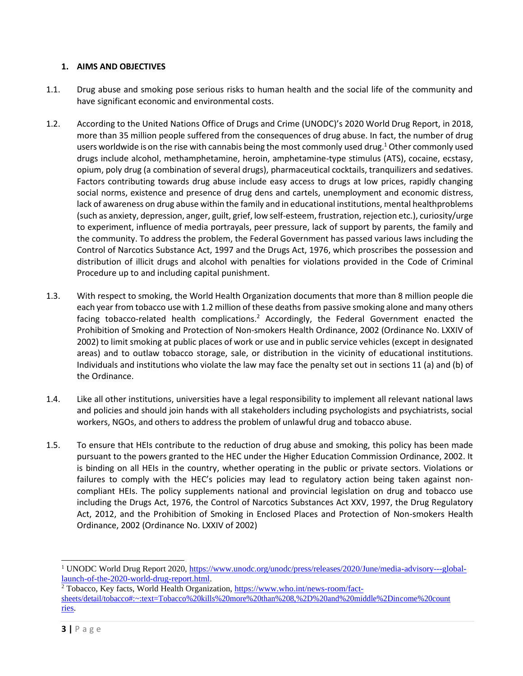#### **1. AIMS AND OBJECTIVES**

- 1.1. Drug abuse and smoking pose serious risks to human health and the social life of the community and have significant economic and environmental costs.
- 1.2. According to the United Nations Office of Drugs and Crime (UNODC)'s 2020 World Drug Report, in 2018, more than 35 million people suffered from the consequences of drug abuse. In fact, the number of drug users worldwide is on the rise with cannabis being the most commonly used drug.<sup>1</sup> Other commonly used drugs include alcohol, methamphetamine, heroin, amphetamine-type stimulus (ATS), cocaine, ecstasy, opium, poly drug (a combination of several drugs), pharmaceutical cocktails, tranquilizers and sedatives. Factors contributing towards drug abuse include easy access to drugs at low prices, rapidly changing social norms, existence and presence of drug dens and cartels, unemployment and economic distress, lack of awareness on drug abuse within the family and in educational institutions, mental healthproblems (such as anxiety, depression, anger, guilt, grief, low self-esteem, frustration, rejection etc.), curiosity/urge to experiment, influence of media portrayals, peer pressure, lack of support by parents, the family and the community. To address the problem, the Federal Government has passed various laws including the Control of Narcotics Substance Act, 1997 and the Drugs Act, 1976, which proscribes the possession and distribution of illicit drugs and alcohol with penalties for violations provided in the Code of Criminal Procedure up to and including capital punishment.
- 1.3. With respect to smoking, the World Health Organization documents that more than 8 million people die each year from tobacco use with 1.2 million of these deaths from passive smoking alone and many others facing tobacco-related health complications.<sup>2</sup> Accordingly, the Federal Government enacted the Prohibition of Smoking and Protection of Non-smokers Health Ordinance, 2002 (Ordinance No. LXXIV of 2002) to limit smoking at public places of work or use and in public service vehicles (except in designated areas) and to outlaw tobacco storage, sale, or distribution in the vicinity of educational institutions. Individuals and institutions who violate the law may face the penalty set out in sections 11 (a) and (b) of the Ordinance.
- 1.4. Like all other institutions, universities have a legal responsibility to implement all relevant national laws and policies and should join hands with all stakeholders including psychologists and psychiatrists, social workers, NGOs, and others to address the problem of unlawful drug and tobacco abuse.
- 1.5. To ensure that HEIs contribute to the reduction of drug abuse and smoking, this policy has been made pursuant to the powers granted to the HEC under the Higher Education Commission Ordinance, 2002. It is binding on all HEIs in the country, whether operating in the public or private sectors. Violations or failures to comply with the HEC's policies may lead to regulatory action being taken against noncompliant HEIs. The policy supplements national and provincial legislation on drug and tobacco use including the Drugs Act, 1976, the Control of Narcotics Substances Act XXV, 1997, the Drug Regulatory Act, 2012, and the Prohibition of Smoking in Enclosed Places and Protection of Non-smokers Health Ordinance, 2002 (Ordinance No. LXXIV of 2002)

<sup>1</sup> UNODC World Drug Report 2020[, https://www.unodc.org/unodc/press/releases/2020/June/media-advisory---global](https://www.unodc.org/unodc/press/releases/2020/June/media-advisory---global-launch-of-the-2020-world-drug-report.html)[launch-of-the-2020-world-drug-report.html.](https://www.unodc.org/unodc/press/releases/2020/June/media-advisory---global-launch-of-the-2020-world-drug-report.html)

<sup>2</sup> Tobacco, Key facts, World Health Organization, [https://www.who.int/news-room/fact](https://www.who.int/news-room/fact-sheets/detail/tobacco#%3A~%3Atext%3DTobacco%20kills%20more%20than%208%2C%2D%20and%20middle%2Dincome%20countries)[sheets/detail/tobacco#:~:text=Tobacco%20kills%20more%20than%208,%2D%20and%20middle%2Dincome%20count](https://www.who.int/news-room/fact-sheets/detail/tobacco#%3A~%3Atext%3DTobacco%20kills%20more%20than%208%2C%2D%20and%20middle%2Dincome%20countries) [ries.](https://www.who.int/news-room/fact-sheets/detail/tobacco#%3A~%3Atext%3DTobacco%20kills%20more%20than%208%2C%2D%20and%20middle%2Dincome%20countries)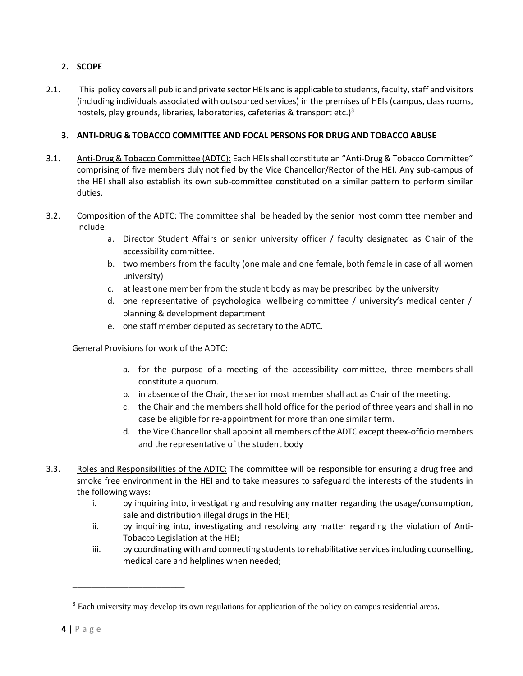## **2. SCOPE**

2.1. This policy covers all public and private sector HEIs and is applicable to students, faculty, staff and visitors (including individuals associated with outsourced services) in the premises of HEIs(campus, class rooms, hostels, play grounds, libraries, laboratories, cafeterias & transport etc.) $3$ 

### **3. ANTI-DRUG & TOBACCO COMMITTEE AND FOCAL PERSONS FOR DRUG AND TOBACCO ABUSE**

- 3.1. Anti-Drug & Tobacco Committee (ADTC): Each HEIsshall constitute an "Anti-Drug& Tobacco Committee" comprising of five members duly notified by the Vice Chancellor/Rector of the HEI. Any sub-campus of the HEI shall also establish its own sub-committee constituted on a similar pattern to perform similar duties.
- 3.2. Composition of the ADTC: The committee shall be headed by the senior most committee member and include:
	- a. Director Student Affairs or senior university officer / faculty designated as Chair of the accessibility committee.
	- b. two members from the faculty (one male and one female, both female in case of all women university)
	- c. at least one member from the student body as may be prescribed by the university
	- d. one representative of psychological wellbeing committee / university's medical center / planning & development department
	- e. one staff member deputed as secretary to the ADTC.

General Provisions for work of the ADTC:

- a. for the purpose of a meeting of the accessibility committee, three members shall constitute a quorum.
- b. in absence of the Chair, the senior most member shall act as Chair of the meeting.
- c. the Chair and the members shall hold office for the period of three years and shall in no case be eligible for re-appointment for more than one similar term.
- d. the Vice Chancellor shall appoint all members of the ADTC except theex-officio members and the representative of the student body
- 3.3. Roles and Responsibilities of the ADTC: The committee will be responsible for ensuring a drug free and smoke free environment in the HEI and to take measures to safeguard the interests of the students in the following ways:
	- i. by inquiring into, investigating and resolving any matter regarding the usage/consumption, sale and distribution illegal drugs in the HEI;
	- ii. by inquiring into, investigating and resolving any matter regarding the violation of Anti-Tobacco Legislation at the HEI;
	- iii. by coordinating with and connecting students to rehabilitative services including counselling, medical care and helplines when needed;

\_\_\_\_\_\_\_\_\_\_\_\_\_\_\_\_\_\_\_\_\_\_\_\_

<sup>&</sup>lt;sup>3</sup> Each university may develop its own regulations for application of the policy on campus residential areas.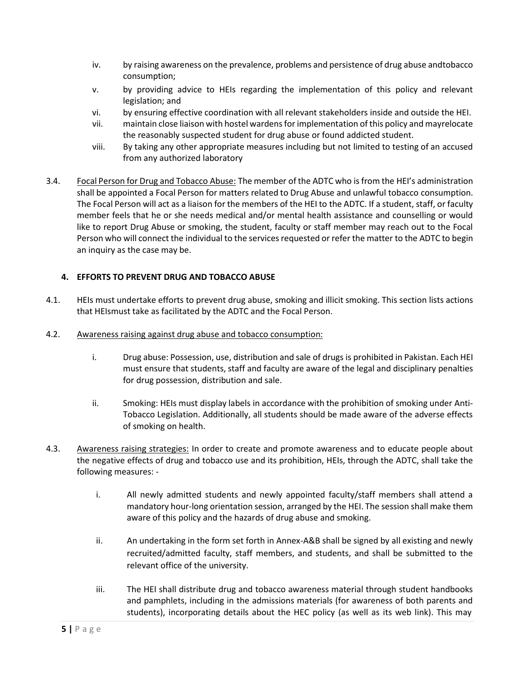- iv. by raising awareness on the prevalence, problems and persistence of drug abuse andtobacco consumption;
- v. by providing advice to HEIs regarding the implementation of this policy and relevant legislation; and
- vi. by ensuring effective coordination with all relevant stakeholders inside and outside the HEI.
- vii. maintain close liaison with hostel wardensforimplementation of this policy and mayrelocate the reasonably suspected student for drug abuse or found addicted student.
- viii. By taking any other appropriate measures including but not limited to testing of an accused from any authorized laboratory
- 3.4. Focal Person for Drug and Tobacco Abuse: The member of the ADTC who is from the HEI's administration shall be appointed a Focal Person for matters related to Drug Abuse and unlawful tobacco consumption. The Focal Person will act as a liaison for the members of the HEI to the ADTC. If a student, staff, or faculty member feels that he or she needs medical and/or mental health assistance and counselling or would like to report Drug Abuse or smoking, the student, faculty or staff member may reach out to the Focal Person who will connect the individual to the services requested or refer the matter to the ADTC to begin an inquiry as the case may be.

#### **4. EFFORTS TO PREVENT DRUG AND TOBACCO ABUSE**

- 4.1. HEIs must undertake efforts to prevent drug abuse, smoking and illicit smoking. This section lists actions that HEIsmust take as facilitated by the ADTC and the Focal Person.
- 4.2. Awareness raising against drug abuse and tobacco consumption:
	- i. Drug abuse: Possession, use, distribution and sale of drugs is prohibited in Pakistan. Each HEI must ensure that students, staff and faculty are aware of the legal and disciplinary penalties for drug possession, distribution and sale.
	- ii. Smoking: HEIs must display labels in accordance with the prohibition of smoking under Anti-Tobacco Legislation. Additionally, all students should be made aware of the adverse effects of smoking on health.
- 4.3. Awareness raising strategies: In order to create and promote awareness and to educate people about the negative effects of drug and tobacco use and its prohibition, HEIs, through the ADTC, shall take the following measures:
	- i. All newly admitted students and newly appointed faculty/staff members shall attend a mandatory hour-long orientation session, arranged by the HEI. The session shall make them aware of this policy and the hazards of drug abuse and smoking.
	- ii. An undertaking in the form set forth in Annex-A&B shall be signed by all existing and newly recruited/admitted faculty, staff members, and students, and shall be submitted to the relevant office of the university.
	- iii. The HEI shall distribute drug and tobacco awareness material through student handbooks and pamphlets, including in the admissions materials (for awareness of both parents and students), incorporating details about the HEC policy (as well as its web link). This may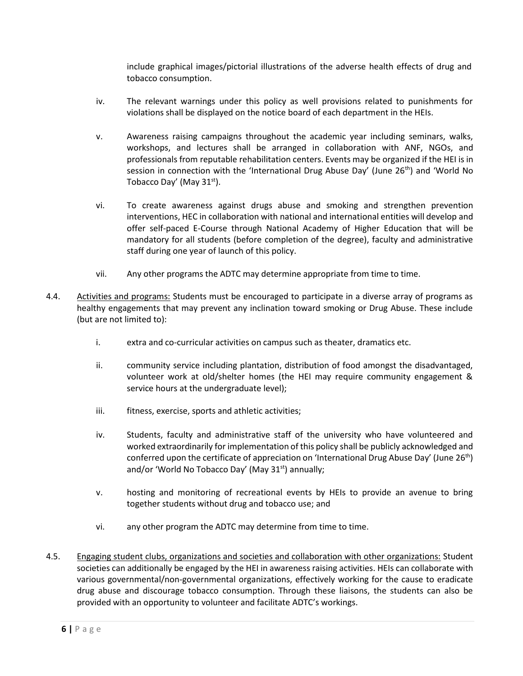include graphical images/pictorial illustrations of the adverse health effects of drug and tobacco consumption.

- iv. The relevant warnings under this policy as well provisions related to punishments for violations shall be displayed on the notice board of each department in the HEIs.
- v. Awareness raising campaigns throughout the academic year including seminars, walks, workshops, and lectures shall be arranged in collaboration with ANF, NGOs, and professionals from reputable rehabilitation centers. Events may be organized if the HEI is in session in connection with the 'International Drug Abuse Day' (June 26<sup>th</sup>) and 'World No Tobacco Day' (May  $31<sup>st</sup>$ ).
- vi. To create awareness against drugs abuse and smoking and strengthen prevention interventions, HEC in collaboration with national and international entities will develop and offer self-paced E-Course through National Academy of Higher Education that will be mandatory for all students (before completion of the degree), faculty and administrative staff during one year of launch of this policy.
- vii. Any other programs the ADTC may determine appropriate from time to time.
- 4.4. Activities and programs: Students must be encouraged to participate in a diverse array of programs as healthy engagements that may prevent any inclination toward smoking or Drug Abuse. These include (but are not limited to):
	- i. extra and co-curricular activities on campus such as theater, dramatics etc.
	- ii. community service including plantation, distribution of food amongst the disadvantaged, volunteer work at old/shelter homes (the HEI may require community engagement & service hours at the undergraduate level);
	- iii. fitness, exercise, sports and athletic activities;
	- iv. Students, faculty and administrative staff of the university who have volunteered and worked extraordinarily for implementation of this policy shall be publicly acknowledged and conferred upon the certificate of appreciation on 'International Drug Abuse Day' (June  $26<sup>th</sup>$ ) and/or 'World No Tobacco Day' (May  $31<sup>st</sup>$ ) annually;
	- v. hosting and monitoring of recreational events by HEIs to provide an avenue to bring together students without drug and tobacco use; and
	- vi. any other program the ADTC may determine from time to time.
- 4.5. Engaging student clubs, organizations and societies and collaboration with other organizations: Student societies can additionally be engaged by the HEI in awareness raising activities. HEIs can collaborate with various governmental/non-governmental organizations, effectively working for the cause to eradicate drug abuse and discourage tobacco consumption. Through these liaisons, the students can also be provided with an opportunity to volunteer and facilitate ADTC's workings.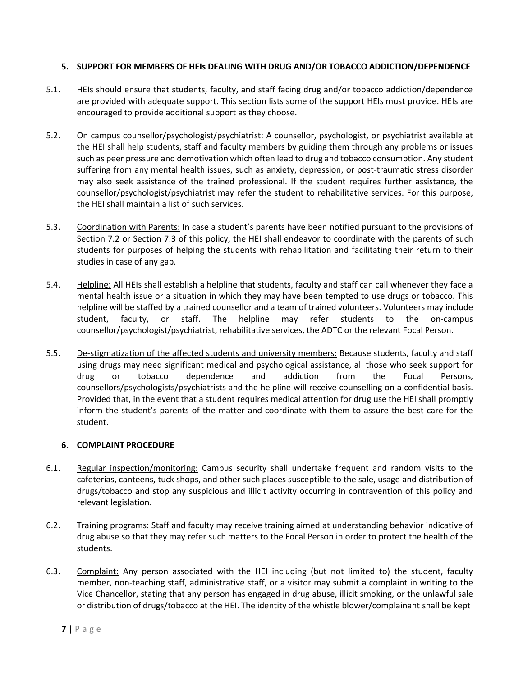#### **5. SUPPORT FOR MEMBERS OF HEIs DEALING WITH DRUG AND/OR TOBACCO ADDICTION/DEPENDENCE**

- 5.1. HEIs should ensure that students, faculty, and staff facing drug and/or tobacco addiction/dependence are provided with adequate support. This section lists some of the support HEIs must provide. HEIs are encouraged to provide additional support as they choose.
- 5.2. On campus counsellor/psychologist/psychiatrist: A counsellor, psychologist, or psychiatrist available at the HEI shall help students, staff and faculty members by guiding them through any problems or issues such as peer pressure and demotivation which often lead to drug and tobacco consumption. Any student suffering from any mental health issues, such as anxiety, depression, or post-traumatic stress disorder may also seek assistance of the trained professional. If the student requires further assistance, the counsellor/psychologist/psychiatrist may refer the student to rehabilitative services. For this purpose, the HEI shall maintain a list of such services.
- 5.3. Coordination with Parents: In case a student's parents have been notified pursuant to the provisions of Section 7.2 or Section 7.3 of this policy, the HEI shall endeavor to coordinate with the parents of such students for purposes of helping the students with rehabilitation and facilitating their return to their studies in case of any gap.
- 5.4. Helpline: All HEIs shall establish a helpline that students, faculty and staff can call whenever they face a mental health issue or a situation in which they may have been tempted to use drugs or tobacco. This helpline will be staffed by a trained counsellor and a team of trained volunteers. Volunteers may include student, faculty, or staff. The helpline may refer students to the on-campus counsellor/psychologist/psychiatrist, rehabilitative services, the ADTC or the relevant Focal Person.
- 5.5. De-stigmatization of the affected students and university members: Because students, faculty and staff using drugs may need significant medical and psychological assistance, all those who seek support for drug or tobacco dependence and addiction from the Focal Persons, counsellors/psychologists/psychiatrists and the helpline will receive counselling on a confidential basis. Provided that, in the event that a student requires medical attention for drug use the HEI shall promptly inform the student's parents of the matter and coordinate with them to assure the best care for the student.

#### **6. COMPLAINT PROCEDURE**

- 6.1. Regular inspection/monitoring: Campus security shall undertake frequent and random visits to the cafeterias, canteens, tuck shops, and other such places susceptible to the sale, usage and distribution of drugs/tobacco and stop any suspicious and illicit activity occurring in contravention of this policy and relevant legislation.
- 6.2. Training programs: Staff and faculty may receive training aimed at understanding behavior indicative of drug abuse so that they may refer such matters to the Focal Person in order to protect the health of the students.
- 6.3. Complaint: Any person associated with the HEI including (but not limited to) the student, faculty member, non-teaching staff, administrative staff, or a visitor may submit a complaint in writing to the Vice Chancellor, stating that any person has engaged in drug abuse, illicit smoking, or the unlawful sale or distribution of drugs/tobacco at the HEI. The identity of the whistle blower/complainant shall be kept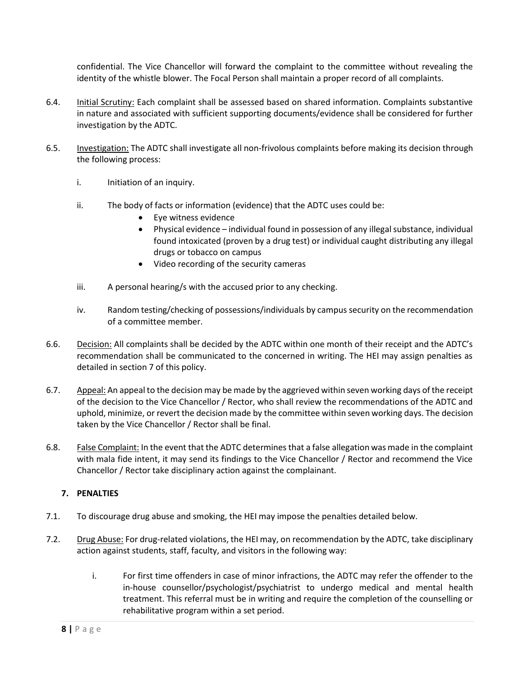confidential. The Vice Chancellor will forward the complaint to the committee without revealing the identity of the whistle blower. The Focal Person shall maintain a proper record of all complaints.

- 6.4. Initial Scrutiny: Each complaint shall be assessed based on shared information. Complaints substantive in nature and associated with sufficient supporting documents/evidence shall be considered for further investigation by the ADTC.
- 6.5. Investigation: The ADTC shall investigate all non-frivolous complaints before making its decision through the following process:
	- i. Initiation of an inquiry.
	- ii. The body of facts or information (evidence) that the ADTC uses could be:
		- Eye witness evidence
		- Physical evidence individual found in possession of any illegal substance, individual found intoxicated (proven by a drug test) or individual caught distributing any illegal drugs or tobacco on campus
		- Video recording of the security cameras
	- iii. A personal hearing/s with the accused prior to any checking.
	- iv. Random testing/checking of possessions/individuals by campus security on the recommendation of a committee member.
- 6.6. Decision: All complaints shall be decided by the ADTC within one month of their receipt and the ADTC's recommendation shall be communicated to the concerned in writing. The HEI may assign penalties as detailed in section 7 of this policy.
- 6.7. Appeal: An appeal to the decision may be made by the aggrieved within seven working days of the receipt of the decision to the Vice Chancellor / Rector, who shall review the recommendations of the ADTC and uphold, minimize, or revert the decision made by the committee within seven working days. The decision taken by the Vice Chancellor / Rector shall be final.
- 6.8. False Complaint: In the event that the ADTC determines that a false allegation was made in the complaint with mala fide intent, it may send its findings to the Vice Chancellor / Rector and recommend the Vice Chancellor / Rector take disciplinary action against the complainant.

### **7. PENALTIES**

- 7.1. To discourage drug abuse and smoking, the HEI may impose the penalties detailed below.
- 7.2. Drug Abuse: For drug-related violations, the HEI may, on recommendation by the ADTC, take disciplinary action against students, staff, faculty, and visitors in the following way:
	- i. For first time offenders in case of minor infractions, the ADTC may refer the offender to the in-house counsellor/psychologist/psychiatrist to undergo medical and mental health treatment. This referral must be in writing and require the completion of the counselling or rehabilitative program within a set period.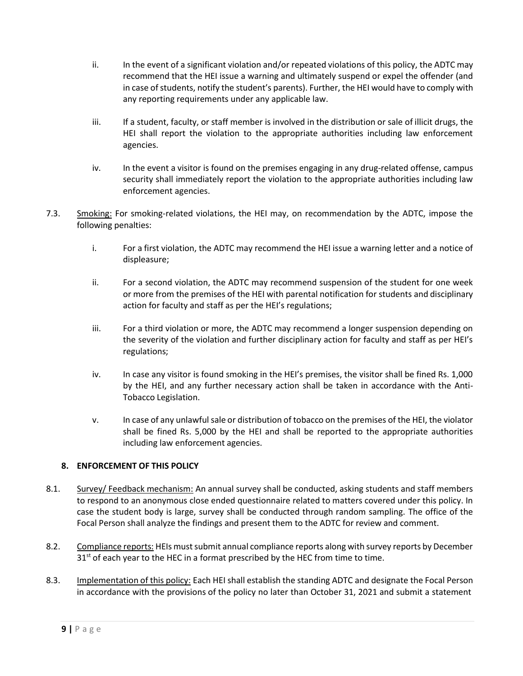- ii. In the event of a significant violation and/or repeated violations of this policy, the ADTC may recommend that the HEI issue a warning and ultimately suspend or expel the offender (and in case of students, notify the student's parents). Further, the HEI would have to comply with any reporting requirements under any applicable law.
- iii. If a student, faculty, or staff member is involved in the distribution or sale of illicit drugs, the HEI shall report the violation to the appropriate authorities including law enforcement agencies.
- iv. In the event a visitor is found on the premises engaging in any drug-related offense, campus security shall immediately report the violation to the appropriate authorities including law enforcement agencies.
- 7.3. Smoking: For smoking-related violations, the HEI may, on recommendation by the ADTC, impose the following penalties:
	- i. For a first violation, the ADTC may recommend the HEI issue a warning letter and a notice of displeasure;
	- ii. For a second violation, the ADTC may recommend suspension of the student for one week or more from the premises of the HEI with parental notification for students and disciplinary action for faculty and staff as per the HEI's regulations;
	- iii. For a third violation or more, the ADTC may recommend a longer suspension depending on the severity of the violation and further disciplinary action for faculty and staff as per HEI's regulations;
	- iv. In case any visitor is found smoking in the HEI's premises, the visitor shall be fined Rs. 1,000 by the HEI, and any further necessary action shall be taken in accordance with the Anti-Tobacco Legislation.
	- v. In case of any unlawful sale or distribution of tobacco on the premises of the HEI, the violator shall be fined Rs. 5,000 by the HEI and shall be reported to the appropriate authorities including law enforcement agencies.

### **8. ENFORCEMENT OF THIS POLICY**

- 8.1. Survey/ Feedback mechanism: An annual survey shall be conducted, asking students and staff members to respond to an anonymous close ended questionnaire related to matters covered under this policy. In case the student body is large, survey shall be conducted through random sampling. The office of the Focal Person shall analyze the findings and present them to the ADTC for review and comment.
- 8.2. Compliance reports: HEIs must submit annual compliance reports along with survey reports by December  $31<sup>st</sup>$  of each year to the HEC in a format prescribed by the HEC from time to time.
- 8.3. Implementation of this policy: Each HEI shall establish the standing ADTC and designate the Focal Person in accordance with the provisions of the policy no later than October 31, 2021 and submit a statement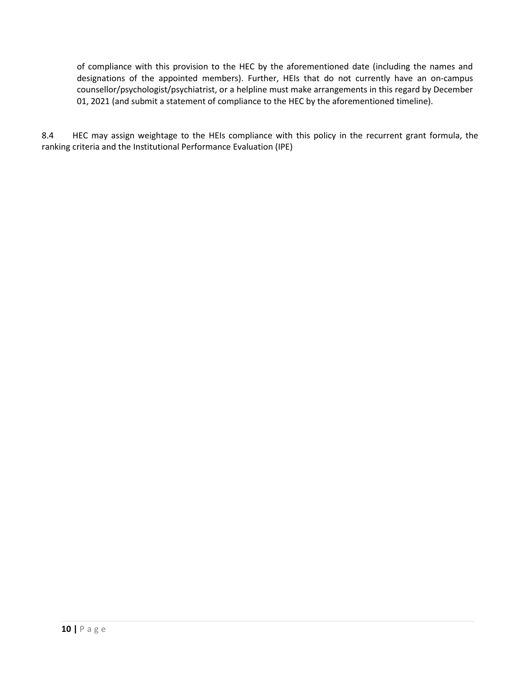of compliance with this provision to the HEC by the aforementioned date (including the names and designations of the appointed members). Further, HEIs that do not currently have an on-campus counsellor/psychologist/psychiatrist, or a helpline must make arrangements in this regard by December 01, 2021 (and submit a statement of compliance to the HEC by the aforementioned timeline).

8.4 HEC may assign weightage to the HEIs compliance with this policy in the recurrent grant formula, the ranking criteria and the Institutional Performance Evaluation (IPE)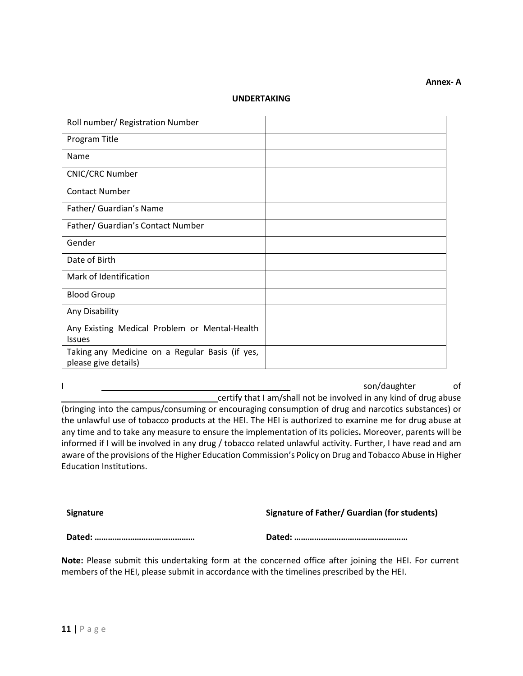#### **UNDERTAKING**

| Roll number/ Registration Number                                        |  |
|-------------------------------------------------------------------------|--|
| Program Title                                                           |  |
| Name                                                                    |  |
| <b>CNIC/CRC Number</b>                                                  |  |
| <b>Contact Number</b>                                                   |  |
| Father/ Guardian's Name                                                 |  |
| Father/ Guardian's Contact Number                                       |  |
| Gender                                                                  |  |
| Date of Birth                                                           |  |
| Mark of Identification                                                  |  |
| <b>Blood Group</b>                                                      |  |
| Any Disability                                                          |  |
| Any Existing Medical Problem or Mental-Health<br><b>Issues</b>          |  |
| Taking any Medicine on a Regular Basis (if yes,<br>please give details) |  |

I son/daughter of certify that I am/shall not be involved in any kind of drug abuse (bringing into the campus/consuming or encouraging consumption of drug and narcotics substances) or

the unlawful use of tobacco products at the HEI. The HEI is authorized to examine me for drug abuse at any time and to take any measure to ensure the implementation of its policies**.** Moreover, parents will be informed if I will be involved in any drug / tobacco related unlawful activity. Further, I have read and am aware of the provisions of the Higher Education Commission's Policy on Drug and Tobacco Abuse in Higher Education Institutions.

**Signature Signature of Father/ Guardian (for students)**

**Annex- A**

**Dated: ……………………………………… Dated: ……………………………………………**

**Note:** Please submit this undertaking form at the concerned office after joining the HEI. For current members of the HEI, please submit in accordance with the timelines prescribed by the HEI.